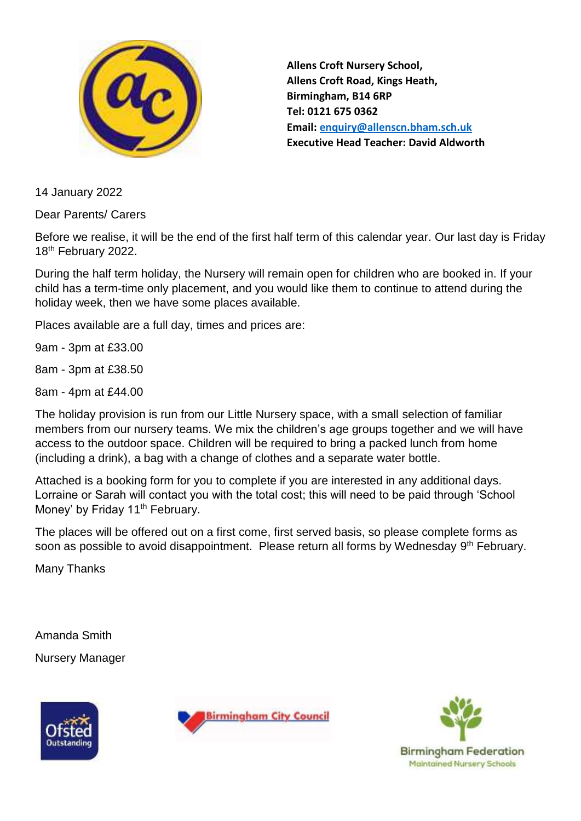

**Allens Croft Nursery School, Allens Croft Road, Kings Heath, Birmingham, B14 6RP Tel: 0121 675 0362 Email: [enquiry@allenscn.bham.sch.uk](mailto:enquiry@allenscn.bham.sch.uk) Executive Head Teacher: David Aldworth**

14 January 2022

Dear Parents/ Carers

Before we realise, it will be the end of the first half term of this calendar year. Our last day is Friday 18<sup>th</sup> February 2022.

During the half term holiday, the Nursery will remain open for children who are booked in. If your child has a term-time only placement, and you would like them to continue to attend during the holiday week, then we have some places available.

Places available are a full day, times and prices are:

9am - 3pm at £33.00

8am - 3pm at £38.50

8am - 4pm at £44.00

The holiday provision is run from our Little Nursery space, with a small selection of familiar members from our nursery teams. We mix the children's age groups together and we will have access to the outdoor space. Children will be required to bring a packed lunch from home (including a drink), a bag with a change of clothes and a separate water bottle.

Attached is a booking form for you to complete if you are interested in any additional days. Lorraine or Sarah will contact you with the total cost; this will need to be paid through 'School Money' by Friday 11<sup>th</sup> February.

The places will be offered out on a first come, first served basis, so please complete forms as soon as possible to avoid disappointment. Please return all forms by Wednesday 9<sup>th</sup> February.

Many Thanks

Amanda Smith Nursery Manager